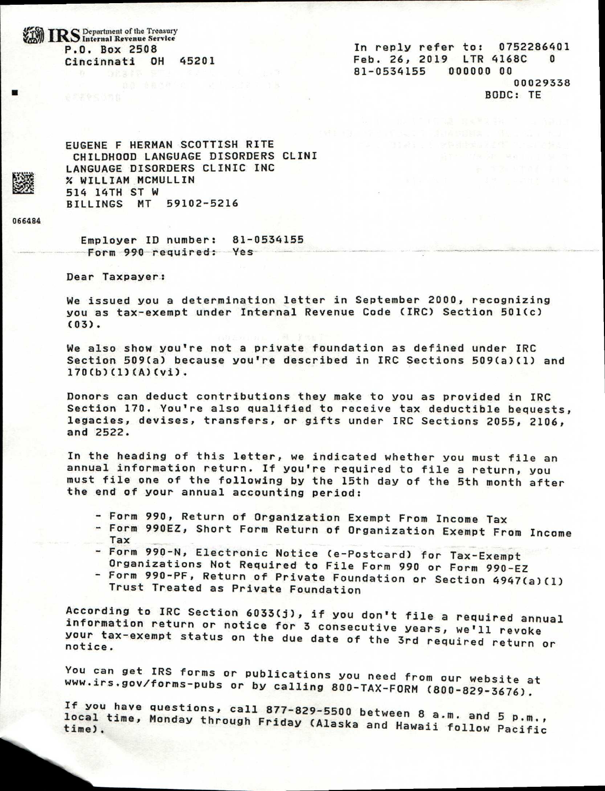**IRS** Department of the Treasury P.O. Box 2508 Cincinnati OH 45201

In reply refer to: 0752286401 Feb. 26, 2019 LTR 4168C 0 81-0534155 000000 00 00029338 BODC: TE

EUGENE F HERMAN SCOTTISH RITE CHILDHOOD LANGUAGE DISORDERS CLINI LANGUAGE DISORDERS CLINIC INC % WILLIAM MCMULLIN 514 14TH ST W BILLINGS MT 59102-5216

066484

Employer ID number: 81-0534155 Form 990 required: Yes

Dear Taxpayer:

We issued you a determination letter in September 2000, recognizing you as tax-exempt under Internal Revenue Code (IRC) Section 501(c) (03).

We also show you're not a private foundation as defined under IRC Section 509(a) because you're described in IRC Sections 509(a)(1) and 170(b)(1)(A)(vi).

Donors can deduct contributions they make to you as provided in IRC Section 170. You're also qualified to receive tax deductible bequests, legacies, devises, transfers, or gifts under IRC Sections 2055, 2106, and 2522.

In the heading of this letter, we indicated whether you must file an annual information return. If you're required to file a return, you must file one of the following by the 15th day of the 5th month after the end of your annual accounting period:

- Form 990, Return of Organization Exempt From Income Tax
- Form 990EZ, Short Form Return of Organization Exempt From Income Tax
- Form 990-N, Electronic Notice (e Postcard) for Tax-Exempt Organizations Not Required to File Form 990 or Form 990-EZ
- Form 990-PF, Return of Private Foundation or Section 4947(a)(1) Trust Treated as Private Foundation

According to IRC Section 6033(j), if you don't file a required annual information return or notice for 3 consecutive years, we'll revoke your tax-exempt status on the due date of the 3rd required return or notice.

You can get IRS forms or publications you need from our website at www.irs.gov/forms-pubs or by calling 800-TAX-FORM (800-829-3676).

If you have questions, call 877-829-5500 between 8 a.m. and 5 p.m., ozy-b500 between 8 a.m. and 5 p.m., local time, Monday through Friday (Alaska and Hawaii follow Pacific time).